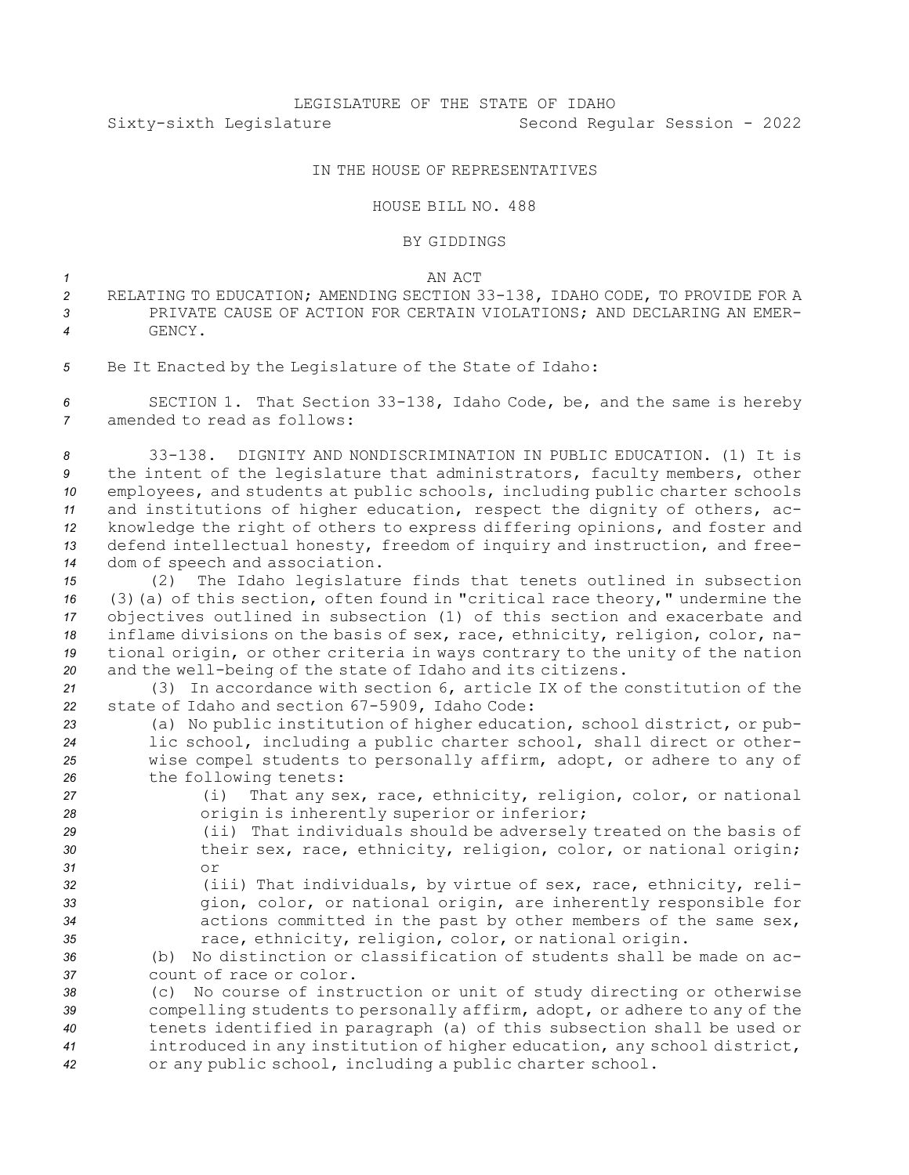## IN THE HOUSE OF REPRESENTATIVES

## HOUSE BILL NO. 488

## BY GIDDINGS

*1* AN ACT

- *<sup>2</sup>* RELATING TO EDUCATION; AMENDING SECTION 33-138, IDAHO CODE, TO PROVIDE FOR A *3* PRIVATE CAUSE OF ACTION FOR CERTAIN VIOLATIONS; AND DECLARING AN EMER-*4* GENCY.
- *<sup>5</sup>* Be It Enacted by the Legislature of the State of Idaho:

*<sup>6</sup>* SECTION 1. That Section 33-138, Idaho Code, be, and the same is hereby *7* amended to read as follows:

 33-138. DIGNITY AND NONDISCRIMINATION IN PUBLIC EDUCATION. (1) It is the intent of the legislature that administrators, faculty members, other employees, and students at public schools, including public charter schools and institutions of higher education, respect the dignity of others, ac- knowledge the right of others to express differing opinions, and foster and defend intellectual honesty, freedom of inquiry and instruction, and free-dom of speech and association.

 (2) The Idaho legislature finds that tenets outlined in subsection (3)(a) of this section, often found in "critical race theory," undermine the objectives outlined in subsection (1) of this section and exacerbate and inflame divisions on the basis of sex, race, ethnicity, religion, color, na- tional origin, or other criteria in ways contrary to the unity of the nation and the well-being of the state of Idaho and its citizens.

*<sup>21</sup>* (3) In accordance with section 6, article IX of the constitution of the *<sup>22</sup>* state of Idaho and section 67-5909, Idaho Code:

- *<sup>23</sup>* (a) No public institution of higher education, school district, or pub-*<sup>24</sup>* lic school, including <sup>a</sup> public charter school, shall direct or other-*<sup>25</sup>* wise compel students to personally affirm, adopt, or adhere to any of 26 the following tenets:
- *<sup>27</sup>* (i) That any sex, race, ethnicity, religion, color, or national *<sup>28</sup>* origin is inherently superior or inferior; *<sup>29</sup>* (ii) That individuals should be adversely treated on the basis of
- *<sup>30</sup>* their sex, race, ethnicity, religion, color, or national origin; *31* or
- 
- 
- *<sup>32</sup>* (iii) That individuals, by virtue of sex, race, ethnicity, reli-*<sup>33</sup>* gion, color, or national origin, are inherently responsible for *<sup>34</sup>* actions committed in the past by other members of the same sex, *<sup>35</sup>* race, ethnicity, religion, color, or national origin.

*36* (b) No distinction or classification of students shall be made on ac-*37* count of race or color.

 (c) No course of instruction or unit of study directing or otherwise compelling students to personally affirm, adopt, or adhere to any of the tenets identified in paragraph (a) of this subsection shall be used or introduced in any institution of higher education, any school district, or any public school, including <sup>a</sup> public charter school.